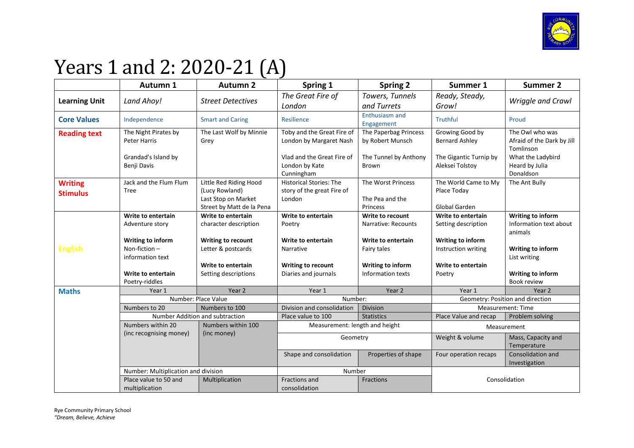

## Years 1 and 2: 2020-21 (A)

|                      | Autumn 1                                     | <b>Autumn 2</b>                                                    | Spring 1                                                   | <b>Spring 2</b>                           | Summer 1                                  | <b>Summer 2</b>                                            |
|----------------------|----------------------------------------------|--------------------------------------------------------------------|------------------------------------------------------------|-------------------------------------------|-------------------------------------------|------------------------------------------------------------|
| <b>Learning Unit</b> | Land Ahoy!                                   | <b>Street Detectives</b>                                           | The Great Fire of                                          | Towers, Tunnels                           | Ready, Steady,                            | Wriggle and Crawl                                          |
|                      |                                              |                                                                    | London                                                     | and Turrets                               | Grow!                                     |                                                            |
| <b>Core Values</b>   | Independence                                 | <b>Smart and Caring</b>                                            | Resilience                                                 | <b>Enthusiasm and</b><br>Engagement       | <b>Truthful</b>                           | Proud                                                      |
| <b>Reading text</b>  | The Night Pirates by<br>Peter Harris         | The Last Wolf by Minnie<br>Grey                                    | Toby and the Great Fire of<br>London by Margaret Nash      | The Paperbag Princess<br>by Robert Munsch | Growing Good by<br><b>Bernard Ashley</b>  | The Owl who was<br>Afraid of the Dark by Jill<br>Tomlinson |
|                      | Grandad's Island by<br>Benji Davis           |                                                                    | Vlad and the Great Fire of<br>London by Kate<br>Cunningham | The Tunnel by Anthony<br>Brown            | The Gigantic Turnip by<br>Aleksei Tolstoy | What the Ladybird<br>Heard by Julia<br>Donaldson           |
| <b>Writing</b>       | Jack and the Flum Flum                       | Little Red Riding Hood                                             | Historical Stories: The                                    | The Worst Princess                        | The World Came to My                      | The Ant Bully                                              |
| <b>Stimulus</b>      | Tree                                         | (Lucy Rowland)<br>Last Stop on Market<br>Street by Matt de la Pena | story of the great Fire of<br>London                       | The Pea and the<br>Princess               | Place Today<br>Global Garden              |                                                            |
|                      | Write to entertain                           | Write to entertain                                                 | Write to entertain                                         | <b>Write to recount</b>                   | Write to entertain                        | Writing to inform                                          |
|                      | Adventure story                              | character description                                              | Poetry                                                     | Narrative: Recounts                       | Setting description                       | Information text about<br>animals                          |
|                      | Writing to inform                            | Writing to recount                                                 | Write to entertain                                         | Write to entertain                        | Writing to inform                         |                                                            |
| <b>English</b>       | Non-fiction-<br>information text             | Letter & postcards                                                 | Narrative                                                  | Fairy tales                               | Instruction writing                       | Writing to inform<br>List writing                          |
|                      |                                              | Write to entertain                                                 | Writing to recount                                         | Writing to inform                         | Write to entertain                        |                                                            |
|                      | Write to entertain<br>Poetry-riddles         | Setting descriptions                                               | Diaries and journals                                       | Information texts                         | Poetry                                    | Writing to inform<br><b>Book review</b>                    |
| <b>Maths</b>         | Year 1                                       | Year 2                                                             | Year 1                                                     | Year 2                                    | Year 1                                    | Year 2                                                     |
|                      | Number: Place Value                          |                                                                    | Number:                                                    |                                           | Geometry: Position and direction          |                                                            |
|                      | Numbers to 20                                | Numbers to 100                                                     | Division and consolidation                                 | <b>Division</b>                           | Measurement: Time                         |                                                            |
|                      | Number Addition and subtraction              |                                                                    | Place value to 100                                         | <b>Statistics</b>                         | Place Value and recap                     | Problem solving                                            |
|                      | Numbers within 20<br>(inc recognising money) | Numbers within 100<br>(inc money)                                  | Measurement: length and height                             |                                           | Measurement                               |                                                            |
|                      |                                              |                                                                    | Geometry                                                   |                                           | Weight & volume                           | Mass, Capacity and<br>Temperature                          |
|                      |                                              |                                                                    | Shape and consolidation                                    | Properties of shape                       | Four operation recaps                     | Consolidation and<br>Investigation                         |
|                      | Number: Multiplication and division          |                                                                    | Number                                                     |                                           |                                           |                                                            |
|                      | Place value to 50 and<br>multiplication      | Multiplication                                                     | Fractions and<br>consolidation                             | Fractions                                 | Consolidation                             |                                                            |